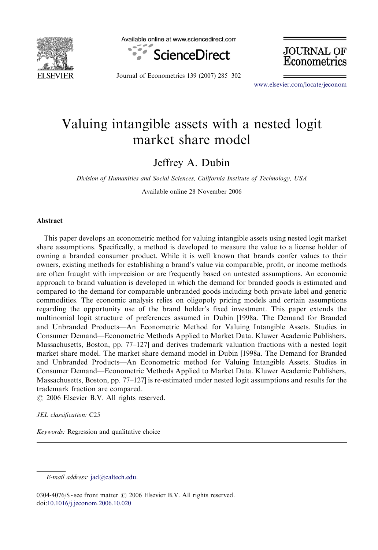

Available online at www.sciencedirect.com



Journal of Econometrics 139 (2007) 285–302

**JOURNAL OF** Econometrics

<www.elsevier.com/locate/jeconom>

## Valuing intangible assets with a nested logit market share model

Jeffrey A. Dubin

Division of Humanities and Social Sciences, California Institute of Technology, USA

Available online 28 November 2006

## **Abstract**

This paper develops an econometric method for valuing intangible assets using nested logit market share assumptions. Specifically, a method is developed to measure the value to a license holder of owning a branded consumer product. While it is well known that brands confer values to their owners, existing methods for establishing a brand's value via comparable, profit, or income methods are often fraught with imprecision or are frequently based on untested assumptions. An economic approach to brand valuation is developed in which the demand for branded goods is estimated and compared to the demand for comparable unbranded goods including both private label and generic commodities. The economic analysis relies on oligopoly pricing models and certain assumptions regarding the opportunity use of the brand holder's fixed investment. This paper extends the multinomial logit structure of preferences assumed in Dubin [1998a. The Demand for Branded and Unbranded Products—An Econometric Method for Valuing Intangible Assets. Studies in Consumer Demand—Econometric Methods Applied to Market Data. Kluwer Academic Publishers, Massachusetts, Boston, pp. 77–127] and derives trademark valuation fractions with a nested logit market share model. The market share demand model in Dubin [1998a. The Demand for Branded and Unbranded Products—An Econometric method for Valuing Intangible Assets. Studies in Consumer Demand—Econometric Methods Applied to Market Data. Kluwer Academic Publishers, Massachusetts, Boston, pp. 77–127] is re-estimated under nested logit assumptions and results for the trademark fraction are compared.

 $\odot$  2006 Elsevier B.V. All rights reserved.

JEL classification: C25

Keywords: Regression and qualitative choice

E-mail address: [jad@caltech.edu.](mailto:jad@caltech.edu)

<sup>0304-4076/\$ -</sup> see front matter  $\odot$  2006 Elsevier B.V. All rights reserved. doi[:10.1016/j.jeconom.2006.10.020](dx.doi.org/10.1016/j.jeconom.2006.10.020)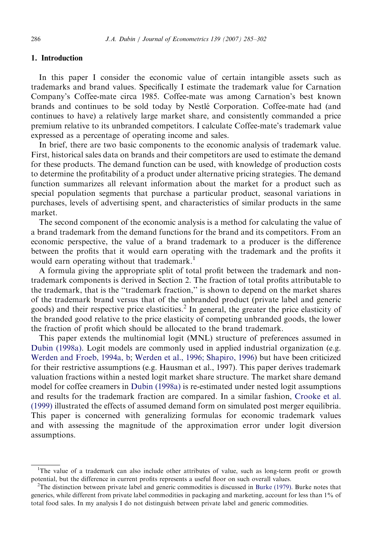## 1. Introduction

In this paper I consider the economic value of certain intangible assets such as trademarks and brand values. Specifically I estimate the trademark value for Carnation Company's Coffee-mate circa 1985. Coffee-mate was among Carnation's best known brands and continues to be sold today by Nestle´ Corporation. Coffee-mate had (and continues to have) a relatively large market share, and consistently commanded a price premium relative to its unbranded competitors. I calculate Coffee-mate's trademark value expressed as a percentage of operating income and sales.

In brief, there are two basic components to the economic analysis of trademark value. First, historical sales data on brands and their competitors are used to estimate the demand for these products. The demand function can be used, with knowledge of production costs to determine the profitability of a product under alternative pricing strategies. The demand function summarizes all relevant information about the market for a product such as special population segments that purchase a particular product, seasonal variations in purchases, levels of advertising spent, and characteristics of similar products in the same market.

The second component of the economic analysis is a method for calculating the value of a brand trademark from the demand functions for the brand and its competitors. From an economic perspective, the value of a brand trademark to a producer is the difference between the profits that it would earn operating with the trademark and the profits it would earn operating without that trademark.<sup>1</sup>

A formula giving the appropriate split of total profit between the trademark and nontrademark components is derived in Section 2. The fraction of total profits attributable to the trademark, that is the ''trademark fraction,'' is shown to depend on the market shares of the trademark brand versus that of the unbranded product (private label and generic goods) and their respective price elasticities.<sup>2</sup> In general, the greater the price elasticity of the branded good relative to the price elasticity of competing unbranded goods, the lower the fraction of profit which should be allocated to the brand trademark.

This paper extends the multinomial logit (MNL) structure of preferences assumed in [Dubin \(1998a\).](#page--1-0) Logit models are commonly used in applied industrial organization (e.g. [Werden and Froeb, 1994a, b](#page--1-0); [Werden et al., 1996; Shapiro, 1996\)](#page--1-0) but have been criticized for their restrictive assumptions (e.g. Hausman et al., 1997). This paper derives trademark valuation fractions within a nested logit market share structure. The market share demand model for coffee creamers in [Dubin \(1998a\)](#page--1-0) is re-estimated under nested logit assumptions and results for the trademark fraction are compared. In a similar fashion, [Crooke et al.](#page--1-0) [\(1999\)](#page--1-0) illustrated the effects of assumed demand form on simulated post merger equilibria. This paper is concerned with generalizing formulas for economic trademark values and with assessing the magnitude of the approximation error under logit diversion assumptions.

<sup>&</sup>lt;sup>1</sup>The value of a trademark can also include other attributes of value, such as long-term profit or growth potential, but the difference in current profits represents a useful floor on such overall values. <sup>2</sup>

 ${}^{2}$ The distinction between private label and generic commodities is discussed in [Burke \(1979\).](#page--1-0) Burke notes that generics, while different from private label commodities in packaging and marketing, account for less than 1% of total food sales. In my analysis I do not distinguish between private label and generic commodities.